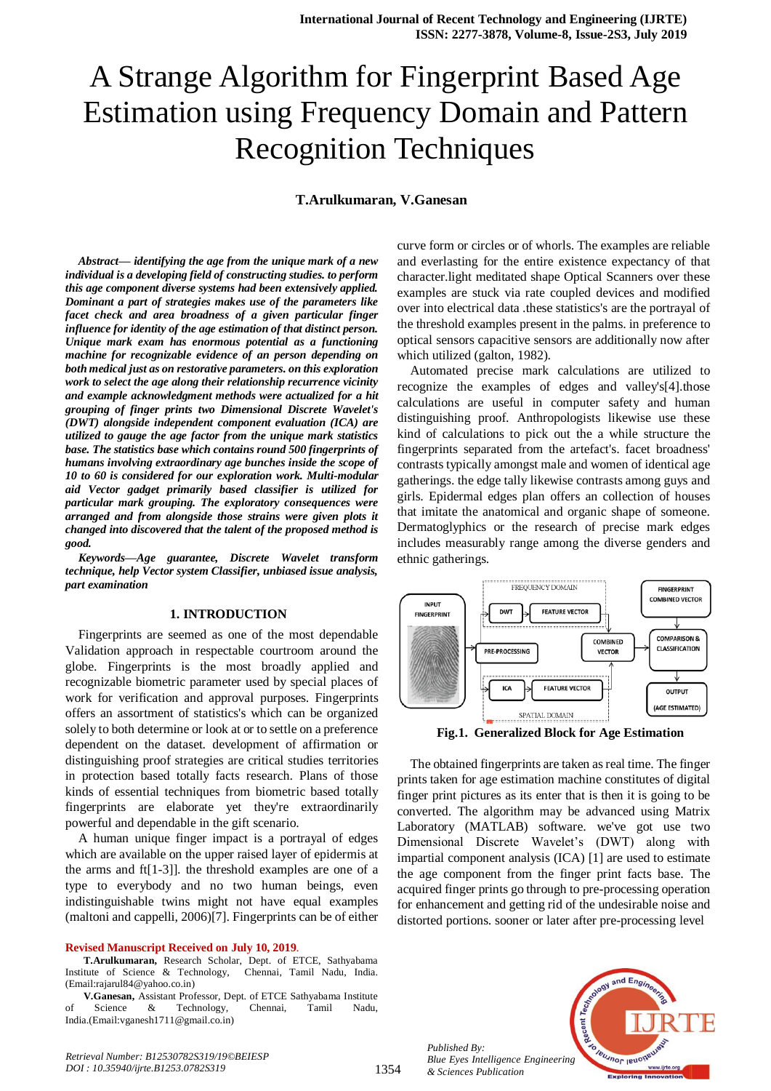# A Strange Algorithm for Fingerprint Based Age Estimation using Frequency Domain and Pattern Recognition Techniques

### **T.Arulkumaran, V.Ganesan**

*Abstract***—** *identifying the age from the unique mark of a new individual is a developing field of constructing studies. to perform this age component diverse systems had been extensively applied. Dominant a part of strategies makes use of the parameters like facet check and area broadness of a given particular finger influence for identity of the age estimation of that distinct person. Unique mark exam has enormous potential as a functioning machine for recognizable evidence of an person depending on both medical just as on restorative parameters. on this exploration work to select the age along their relationship recurrence vicinity and example acknowledgment methods were actualized for a hit grouping of finger prints two Dimensional Discrete Wavelet's (DWT) alongside independent component evaluation (ICA) are utilized to gauge the age factor from the unique mark statistics base. The statistics base which contains round 500 fingerprints of humans involving extraordinary age bunches inside the scope of 10 to 60 is considered for our exploration work. Multi-modular aid Vector gadget primarily based classifier is utilized for particular mark grouping. The exploratory consequences were arranged and from alongside those strains were given plots it changed into discovered that the talent of the proposed method is good.*

*Keywords—Age guarantee, Discrete Wavelet transform technique, help Vector system Classifier, unbiased issue analysis, part examination*

#### **1. INTRODUCTION**

Fingerprints are seemed as one of the most dependable Validation approach in respectable courtroom around the globe. Fingerprints is the most broadly applied and recognizable biometric parameter used by special places of work for verification and approval purposes. Fingerprints offers an assortment of statistics's which can be organized solely to both determine or look at or to settle on a preference dependent on the dataset. development of affirmation or distinguishing proof strategies are critical studies territories in protection based totally facts research. Plans of those kinds of essential techniques from biometric based totally fingerprints are elaborate yet they're extraordinarily powerful and dependable in the gift scenario.

A human unique finger impact is a portrayal of edges which are available on the upper raised layer of epidermis at the arms and ft[1-3]]. the threshold examples are one of a type to everybody and no two human beings, even indistinguishable twins might not have equal examples (maltoni and cappelli, 2006)[7]. Fingerprints can be of either

#### **Revised Manuscript Received on July 10, 2019**.

**T.Arulkumaran,** Research Scholar, Dept. of ETCE, Sathyabama Institute of Science & Technology, Chennai, Tamil Nadu, India. (Email:rajarul84@yahoo.co.in)

**V.Ganesan,** Assistant Professor, Dept. of ETCE Sathyabama Institute of Science & Technology, Chennai, Tamil Nadu, India.(Email:vganesh1711@gmail.co.in)

curve form or circles or of whorls. The examples are reliable and everlasting for the entire existence expectancy of that character.light meditated shape Optical Scanners over these examples are stuck via rate coupled devices and modified over into electrical data .these statistics's are the portrayal of the threshold examples present in the palms. in preference to optical sensors capacitive sensors are additionally now after which utilized (galton, 1982).

Automated precise mark calculations are utilized to recognize the examples of edges and valley's[4].those calculations are useful in computer safety and human distinguishing proof. Anthropologists likewise use these kind of calculations to pick out the a while structure the fingerprints separated from the artefact's. facet broadness' contrasts typically amongst male and women of identical age gatherings. the edge tally likewise contrasts among guys and girls. Epidermal edges plan offers an collection of houses that imitate the anatomical and organic shape of someone. Dermatoglyphics or the research of precise mark edges includes measurably range among the diverse genders and ethnic gatherings.



**Fig.1. Generalized Block for Age Estimation**

The obtained fingerprints are taken as real time. The finger prints taken for age estimation machine constitutes of digital finger print pictures as its enter that is then it is going to be converted. The algorithm may be advanced using Matrix Laboratory (MATLAB) software. we've got use two Dimensional Discrete Wavelet's (DWT) along with impartial component analysis (ICA) [1] are used to estimate the age component from the finger print facts base. The acquired finger prints go through to pre-processing operation for enhancement and getting rid of the undesirable noise and distorted portions. sooner or later after pre-processing level

*Published By: Blue Eyes Intelligence Engineering & Sciences Publication* 

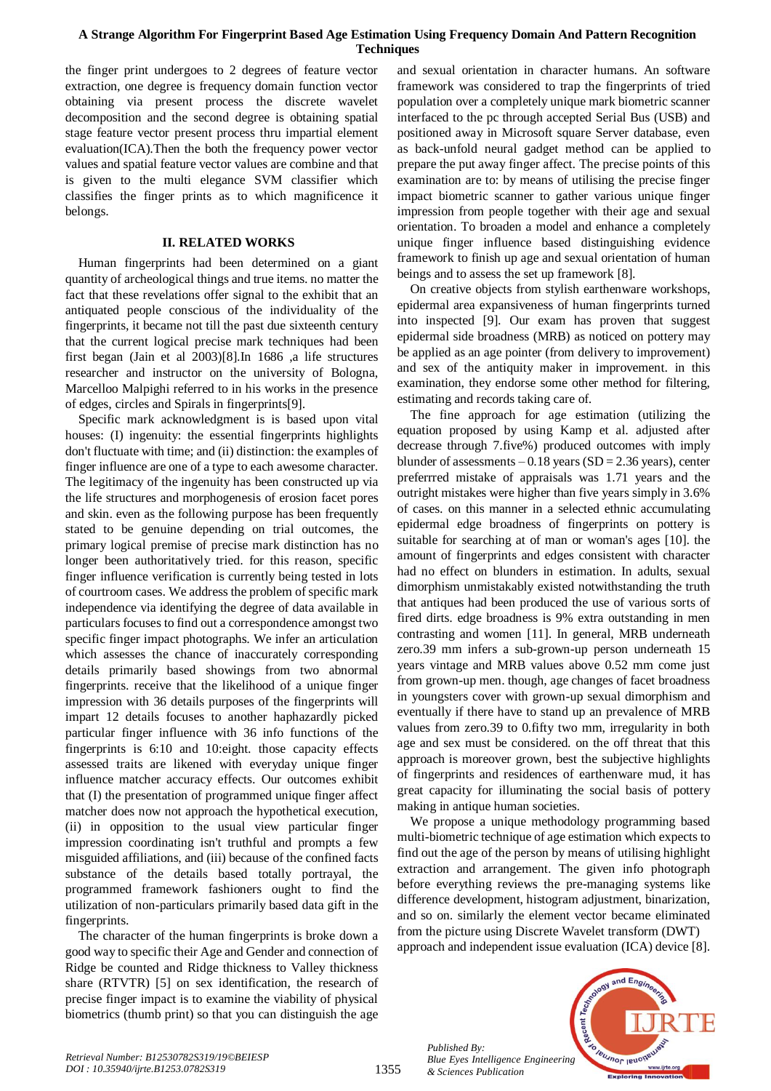## **A Strange Algorithm For Fingerprint Based Age Estimation Using Frequency Domain And Pattern Recognition Techniques**

the finger print undergoes to 2 degrees of feature vector extraction, one degree is frequency domain function vector obtaining via present process the discrete wavelet decomposition and the second degree is obtaining spatial stage feature vector present process thru impartial element evaluation(ICA).Then the both the frequency power vector values and spatial feature vector values are combine and that is given to the multi elegance SVM classifier which classifies the finger prints as to which magnificence it belongs.

## **II. RELATED WORKS**

Human fingerprints had been determined on a giant quantity of archeological things and true items. no matter the fact that these revelations offer signal to the exhibit that an antiquated people conscious of the individuality of the fingerprints, it became not till the past due sixteenth century that the current logical precise mark techniques had been first began (Jain et al 2003)[8].In 1686 ,a life structures researcher and instructor on the university of Bologna, Marcelloo Malpighi referred to in his works in the presence of edges, circles and Spirals in fingerprints[9].

Specific mark acknowledgment is is based upon vital houses: (I) ingenuity: the essential fingerprints highlights don't fluctuate with time; and (ii) distinction: the examples of finger influence are one of a type to each awesome character. The legitimacy of the ingenuity has been constructed up via the life structures and morphogenesis of erosion facet pores and skin. even as the following purpose has been frequently stated to be genuine depending on trial outcomes, the primary logical premise of precise mark distinction has no longer been authoritatively tried. for this reason, specific finger influence verification is currently being tested in lots of courtroom cases. We address the problem of specific mark independence via identifying the degree of data available in particulars focuses to find out a correspondence amongst two specific finger impact photographs. We infer an articulation which assesses the chance of inaccurately corresponding details primarily based showings from two abnormal fingerprints. receive that the likelihood of a unique finger impression with 36 details purposes of the fingerprints will impart 12 details focuses to another haphazardly picked particular finger influence with 36 info functions of the fingerprints is 6:10 and 10:eight. those capacity effects assessed traits are likened with everyday unique finger influence matcher accuracy effects. Our outcomes exhibit that (I) the presentation of programmed unique finger affect matcher does now not approach the hypothetical execution, (ii) in opposition to the usual view particular finger impression coordinating isn't truthful and prompts a few misguided affiliations, and (iii) because of the confined facts substance of the details based totally portrayal, the programmed framework fashioners ought to find the utilization of non-particulars primarily based data gift in the fingerprints.

The character of the human fingerprints is broke down a good way to specific their Age and Gender and connection of Ridge be counted and Ridge thickness to Valley thickness share (RTVTR) [5] on sex identification, the research of precise finger impact is to examine the viability of physical biometrics (thumb print) so that you can distinguish the age

and sexual orientation in character humans. An software framework was considered to trap the fingerprints of tried population over a completely unique mark biometric scanner interfaced to the pc through accepted Serial Bus (USB) and positioned away in Microsoft square Server database, even as back-unfold neural gadget method can be applied to prepare the put away finger affect. The precise points of this examination are to: by means of utilising the precise finger impact biometric scanner to gather various unique finger impression from people together with their age and sexual orientation. To broaden a model and enhance a completely unique finger influence based distinguishing evidence framework to finish up age and sexual orientation of human beings and to assess the set up framework [8].

On creative objects from stylish earthenware workshops, epidermal area expansiveness of human fingerprints turned into inspected [9]. Our exam has proven that suggest epidermal side broadness (MRB) as noticed on pottery may be applied as an age pointer (from delivery to improvement) and sex of the antiquity maker in improvement. in this examination, they endorse some other method for filtering, estimating and records taking care of.

The fine approach for age estimation (utilizing the equation proposed by using Kamp et al. adjusted after decrease through 7.five%) produced outcomes with imply blunder of assessments  $-0.18$  years (SD = 2.36 years), center preferrred mistake of appraisals was 1.71 years and the outright mistakes were higher than five years simply in 3.6% of cases. on this manner in a selected ethnic accumulating epidermal edge broadness of fingerprints on pottery is suitable for searching at of man or woman's ages [10]. the amount of fingerprints and edges consistent with character had no effect on blunders in estimation. In adults, sexual dimorphism unmistakably existed notwithstanding the truth that antiques had been produced the use of various sorts of fired dirts. edge broadness is 9% extra outstanding in men contrasting and women [11]. In general, MRB underneath zero.39 mm infers a sub-grown-up person underneath 15 years vintage and MRB values above 0.52 mm come just from grown-up men. though, age changes of facet broadness in youngsters cover with grown-up sexual dimorphism and eventually if there have to stand up an prevalence of MRB values from zero.39 to 0.fifty two mm, irregularity in both age and sex must be considered. on the off threat that this approach is moreover grown, best the subjective highlights of fingerprints and residences of earthenware mud, it has great capacity for illuminating the social basis of pottery making in antique human societies.

We propose a unique methodology programming based multi-biometric technique of age estimation which expects to find out the age of the person by means of utilising highlight extraction and arrangement. The given info photograph before everything reviews the pre-managing systems like difference development, histogram adjustment, binarization, and so on. similarly the element vector became eliminated from the picture using Discrete Wavelet transform (DWT) approach and independent issue evaluation (ICA) device [8].



*Published By:*

*& Sciences Publication*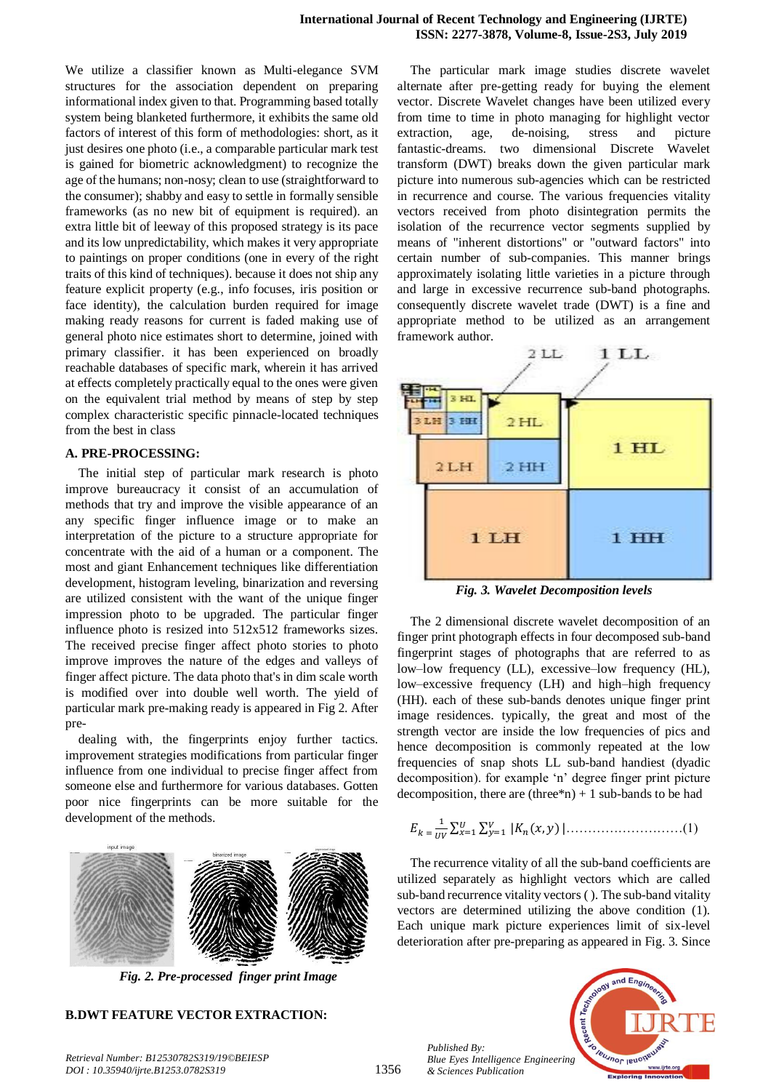We utilize a classifier known as Multi-elegance SVM structures for the association dependent on preparing informational index given to that. Programming based totally system being blanketed furthermore, it exhibits the same old factors of interest of this form of methodologies: short, as it just desires one photo (i.e., a comparable particular mark test is gained for biometric acknowledgment) to recognize the age of the humans; non-nosy; clean to use (straightforward to the consumer); shabby and easy to settle in formally sensible frameworks (as no new bit of equipment is required). an extra little bit of leeway of this proposed strategy is its pace and its low unpredictability, which makes it very appropriate to paintings on proper conditions (one in every of the right traits of this kind of techniques). because it does not ship any feature explicit property (e.g., info focuses, iris position or face identity), the calculation burden required for image making ready reasons for current is faded making use of general photo nice estimates short to determine, joined with primary classifier. it has been experienced on broadly reachable databases of specific mark, wherein it has arrived at effects completely practically equal to the ones were given on the equivalent trial method by means of step by step complex characteristic specific pinnacle-located techniques from the best in class

## **A. PRE-PROCESSING:**

The initial step of particular mark research is photo improve bureaucracy it consist of an accumulation of methods that try and improve the visible appearance of an any specific finger influence image or to make an interpretation of the picture to a structure appropriate for concentrate with the aid of a human or a component. The most and giant Enhancement techniques like differentiation development, histogram leveling, binarization and reversing are utilized consistent with the want of the unique finger impression photo to be upgraded. The particular finger influence photo is resized into 512x512 frameworks sizes. The received precise finger affect photo stories to photo improve improves the nature of the edges and valleys of finger affect picture. The data photo that's in dim scale worth is modified over into double well worth. The yield of particular mark pre-making ready is appeared in Fig 2. After pre-

dealing with, the fingerprints enjoy further tactics. improvement strategies modifications from particular finger influence from one individual to precise finger affect from someone else and furthermore for various databases. Gotten poor nice fingerprints can be more suitable for the development of the methods.



*Fig. 2. Pre-processed finger print Image*

## **B.DWT FEATURE VECTOR EXTRACTION:**

*Retrieval Number: B12530782S319/19©BEIESP DOI : 10.35940/ijrte.B1253.0782S319*

The particular mark image studies discrete wavelet alternate after pre-getting ready for buying the element vector. Discrete Wavelet changes have been utilized every from time to time in photo managing for highlight vector extraction, age, de-noising, stress and picture fantastic-dreams. two dimensional Discrete Wavelet transform (DWT) breaks down the given particular mark picture into numerous sub-agencies which can be restricted in recurrence and course. The various frequencies vitality vectors received from photo disintegration permits the isolation of the recurrence vector segments supplied by means of "inherent distortions" or "outward factors" into certain number of sub-companies. This manner brings approximately isolating little varieties in a picture through and large in excessive recurrence sub-band photographs. consequently discrete wavelet trade (DWT) is a fine and appropriate method to be utilized as an arrangement framework author.



*Fig. 3. Wavelet Decomposition levels*

The 2 dimensional discrete wavelet decomposition of an finger print photograph effects in four decomposed sub-band fingerprint stages of photographs that are referred to as low–low frequency (LL), excessive–low frequency (HL), low–excessive frequency (LH) and high–high frequency (HH). each of these sub-bands denotes unique finger print image residences. typically, the great and most of the strength vector are inside the low frequencies of pics and hence decomposition is commonly repeated at the low frequencies of snap shots LL sub-band handiest (dyadic decomposition). for example 'n' degree finger print picture decomposition, there are  $(three<sup>*</sup>n) + 1$  sub-bands to be had

$$
E_{k} = \frac{1}{uv} \sum_{x=1}^{U} \sum_{y=1}^{V} |K_{n}(x, y)| \dots \dots \dots \dots \dots \dots \dots \dots \dots (1)
$$

The recurrence vitality of all the sub-band coefficients are utilized separately as highlight vectors which are called sub-band recurrence vitality vectors ( ). The sub-band vitality vectors are determined utilizing the above condition (1). Each unique mark picture experiences limit of six-level deterioration after pre-preparing as appeared in Fig. 3. Since



*Published By: Blue Eyes Intelligence Engineering & Sciences Publication*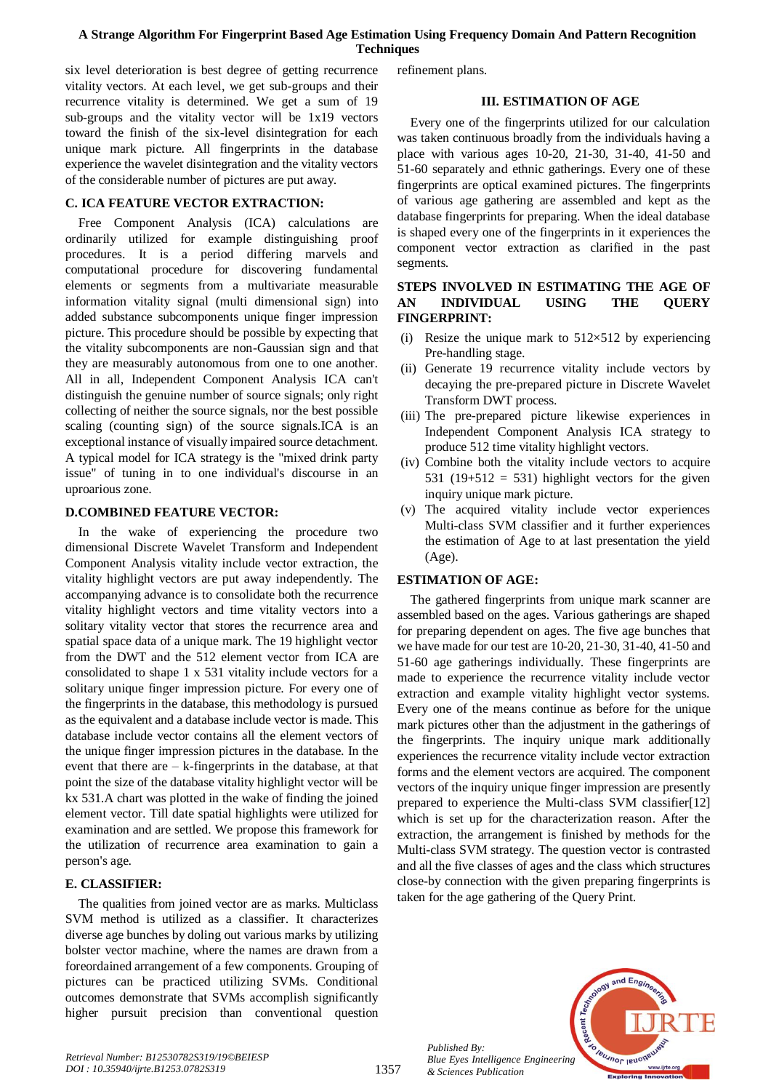## **A Strange Algorithm For Fingerprint Based Age Estimation Using Frequency Domain And Pattern Recognition Techniques**

six level deterioration is best degree of getting recurrence vitality vectors. At each level, we get sub-groups and their recurrence vitality is determined. We get a sum of 19 sub-groups and the vitality vector will be 1x19 vectors toward the finish of the six-level disintegration for each unique mark picture. All fingerprints in the database experience the wavelet disintegration and the vitality vectors of the considerable number of pictures are put away.

# **C. ICA FEATURE VECTOR EXTRACTION:**

Free Component Analysis (ICA) calculations are ordinarily utilized for example distinguishing proof procedures. It is a period differing marvels and computational procedure for discovering fundamental elements or segments from a multivariate measurable information vitality signal (multi dimensional sign) into added substance subcomponents unique finger impression picture. This procedure should be possible by expecting that the vitality subcomponents are non-Gaussian sign and that they are measurably autonomous from one to one another. All in all, Independent Component Analysis ICA can't distinguish the genuine number of source signals; only right collecting of neither the source signals, nor the best possible scaling (counting sign) of the source signals.ICA is an exceptional instance of visually impaired source detachment. A typical model for ICA strategy is the "mixed drink party issue" of tuning in to one individual's discourse in an uproarious zone.

## **D.COMBINED FEATURE VECTOR:**

In the wake of experiencing the procedure two dimensional Discrete Wavelet Transform and Independent Component Analysis vitality include vector extraction, the vitality highlight vectors are put away independently. The accompanying advance is to consolidate both the recurrence vitality highlight vectors and time vitality vectors into a solitary vitality vector that stores the recurrence area and spatial space data of a unique mark. The 19 highlight vector from the DWT and the 512 element vector from ICA are consolidated to shape 1 x 531 vitality include vectors for a solitary unique finger impression picture. For every one of the fingerprints in the database, this methodology is pursued as the equivalent and a database include vector is made. This database include vector contains all the element vectors of the unique finger impression pictures in the database. In the event that there are  $-$  k-fingerprints in the database, at that point the size of the database vitality highlight vector will be kx 531.A chart was plotted in the wake of finding the joined element vector. Till date spatial highlights were utilized for examination and are settled. We propose this framework for the utilization of recurrence area examination to gain a person's age.

## **E. CLASSIFIER:**

The qualities from joined vector are as marks. Multiclass SVM method is utilized as a classifier. It characterizes diverse age bunches by doling out various marks by utilizing bolster vector machine, where the names are drawn from a foreordained arrangement of a few components. Grouping of pictures can be practiced utilizing SVMs. Conditional outcomes demonstrate that SVMs accomplish significantly higher pursuit precision than conventional question

refinement plans.

## **III. ESTIMATION OF AGE**

Every one of the fingerprints utilized for our calculation was taken continuous broadly from the individuals having a place with various ages 10-20, 21-30, 31-40, 41-50 and 51-60 separately and ethnic gatherings. Every one of these fingerprints are optical examined pictures. The fingerprints of various age gathering are assembled and kept as the database fingerprints for preparing. When the ideal database is shaped every one of the fingerprints in it experiences the component vector extraction as clarified in the past segments.

## **STEPS INVOLVED IN ESTIMATING THE AGE OF AN INDIVIDUAL USING THE QUERY FINGERPRINT:**

- (i) Resize the unique mark to  $512\times512$  by experiencing Pre-handling stage.
- (ii) Generate 19 recurrence vitality include vectors by decaying the pre-prepared picture in Discrete Wavelet Transform DWT process.
- (iii) The pre-prepared picture likewise experiences in Independent Component Analysis ICA strategy to produce 512 time vitality highlight vectors.
- (iv) Combine both the vitality include vectors to acquire 531 (19+512 = 531) highlight vectors for the given inquiry unique mark picture.
- (v) The acquired vitality include vector experiences Multi-class SVM classifier and it further experiences the estimation of Age to at last presentation the yield (Age).

## **ESTIMATION OF AGE:**

The gathered fingerprints from unique mark scanner are assembled based on the ages. Various gatherings are shaped for preparing dependent on ages. The five age bunches that we have made for our test are 10-20, 21-30, 31-40, 41-50 and 51-60 age gatherings individually. These fingerprints are made to experience the recurrence vitality include vector extraction and example vitality highlight vector systems. Every one of the means continue as before for the unique mark pictures other than the adjustment in the gatherings of the fingerprints. The inquiry unique mark additionally experiences the recurrence vitality include vector extraction forms and the element vectors are acquired. The component vectors of the inquiry unique finger impression are presently prepared to experience the Multi-class SVM classifier[12] which is set up for the characterization reason. After the extraction, the arrangement is finished by methods for the Multi-class SVM strategy. The question vector is contrasted and all the five classes of ages and the class which structures close-by connection with the given preparing fingerprints is taken for the age gathering of the Query Print.



*Published By:*

*& Sciences Publication*